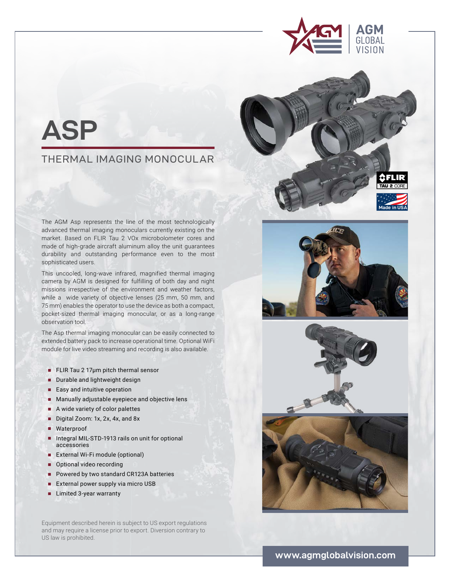



## THERMAL IMAGING MONOCULAR

The AGM Asp represents the line of the most technologically advanced thermal imaging monoculars currently existing on the market. Based on FLIR Tau 2 VOx microbolometer cores and made of high-grade aircraft aluminum alloy the unit guarantees durability and outstanding performance even to the most sophisticated users.

This uncooled, long-wave infrared, magnified thermal imaging camera by AGM is designed for fulfilling of both day and night missions irrespective of the environment and weather factors, while a wide variety of objective lenses (25 mm, 50 mm, and 75 mm) enables the operator to use the device as both a compact, pocket-sized thermal imaging monocular, or as a long-range observation tool.

The Asp thermal imaging monocular can be easily connected to extended battery pack to increase operational time. Optional WiFi module for live video streaming and recording is also available.

- **■** FLIR Tau 2 17μm pitch thermal sensor
- Durable and lightweight design
- Easy and intuitive operation
- Manually adjustable eyepiece and objective lens
- A wide variety of color palettes
- Digital Zoom: 1x, 2x, 4x, and 8x
- Waterproof
- Integral MIL-STD-1913 rails on unit for optional accessories
- **■** External Wi-Fi module (optional)
- Optional video recording
- Powered by two standard CR123A batteries
- External power supply via micro USB
- **■** Limited 3-year warranty

Equipment described herein is subject to US export regulations and may require a license prior to export. Diversion contrary to US law is prohibited.



**Made in USA**

रना ए